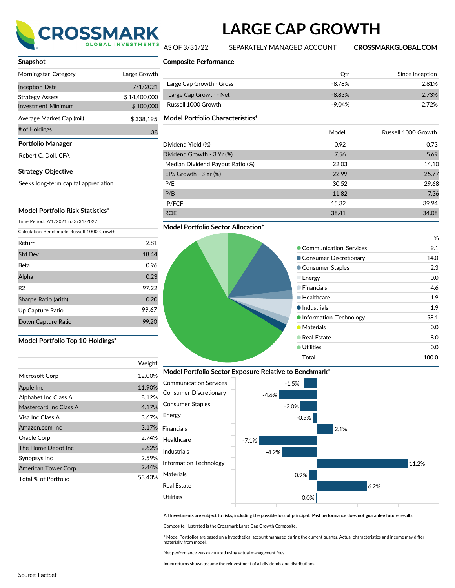

# **LARGE CAP GROWTH**

AS OF 3/31/22 SEPARATELY MANAGED ACCOUNT **CROSSMARKGLOBAL.COM**

| Snapshot                              |              |
|---------------------------------------|--------------|
| Morningstar Category                  | Large Growth |
| <b>Inception Date</b>                 | 7/1/2021     |
| <b>Strategy Assets</b>                | \$14,400,000 |
| <b>Investment Minimum</b>             | \$100,000    |
| Average Market Cap (mil)              | \$338,195    |
| # of Holdings                         | 38           |
| Portfolio Manager                     |              |
| Robert C. Doll, CFA                   |              |
| <b>Strategy Objective</b>             |              |
| Seeks long-term capital appreciation  |              |
|                                       |              |
| Model Portfolio Risk Statistics*      |              |
| $Time$ Beried: $7/1/2021 + 2/21/2022$ |              |

Time Period: 7/1/2021 to 3/31/2022

Calculation Benchmark: Russell 1000 Growth

| Return               | 2.81  |
|----------------------|-------|
| <b>Std Dev</b>       | 18.44 |
| Beta                 | 0.96  |
| Alpha                | 0.23  |
| R <sub>2</sub>       | 97.22 |
| Sharpe Ratio (arith) | 0.20  |
| Up Capture Ratio     | 99.67 |
| Down Capture Ratio   | 99.20 |

#### **Model Portfolio Top 10 Holdings\***

|                            | Weight |
|----------------------------|--------|
| Microsoft Corp             | 12.00% |
| Apple Inc                  | 11.90% |
| Alphabet Inc Class A       | 8.12%  |
| Mastercard Inc Class A     | 4.17%  |
| Visa Inc Class A           | 3.67%  |
| Amazon.com Inc             | 3.17%  |
| Oracle Corp                | 2.74%  |
| The Home Depot Inc         | 2.62%  |
| Synopsys Inc               | 2.59%  |
| <b>American Tower Corp</b> | 2.44%  |
| Total % of Portfolio       | 53.43% |

| <b>Composite Performance</b>     |          |                     |
|----------------------------------|----------|---------------------|
|                                  | Qtr      | Since Inception     |
| Large Cap Growth - Gross         | $-8.78%$ | 2.81%               |
| Large Cap Growth - Net           | $-8.83%$ | 2.73%               |
| Russell 1000 Growth              | $-9.04%$ | 2.72%               |
| Model Portfolio Characteristics* |          |                     |
|                                  | Model    | Russell 1000 Growth |
| Dividend Yield (%)               | 0.92     | 0.73                |
| Dividend Growth - 3 Yr (%)       | 7.56     | 5.69                |
| Median Dividend Payout Ratio (%) | 22.03    | 14.10               |
| EPS Growth - 3 Yr (%)            | 22.99    | 25.77               |
| P/E                              | 30.52    | 29.68               |
| P/B                              | 11.82    | 7.36                |
| P/FCF                            | 15.32    | 39.94               |
| <b>ROE</b>                       | 38.41    | 34.08               |

#### **Model Portfolio Sector Allocation\***

## % Communication Services 6.1 ● Consumer Discretionary 14.0 **Consumer Staples** 2.3 Energy 0.0 Financials 4.6 ● Healthcare 1.9  $\bullet$  Industrials 1.9 ● Information Technology 68.1 **Materials** 0.0 **Canadian Estate** 8.0 ● Utilities 0.0 **Total 100.0**

### **Model Portfolio Sector Exposure Relative to Benchmark\***



All Investments are subject to risks, including the possible loss of principal. Past performance does not guarantee future results.

Composite illustrated is the Crossmark Large Cap Growth Composite.

\* Model Portfolios are based on a hypothetical account managed during the current quarter. Actual characteristics and income may differ materially from model**.**

Net performance was calculated using actual management fees.

Index returns shown assume the reinvestment of all dividends and distributions.